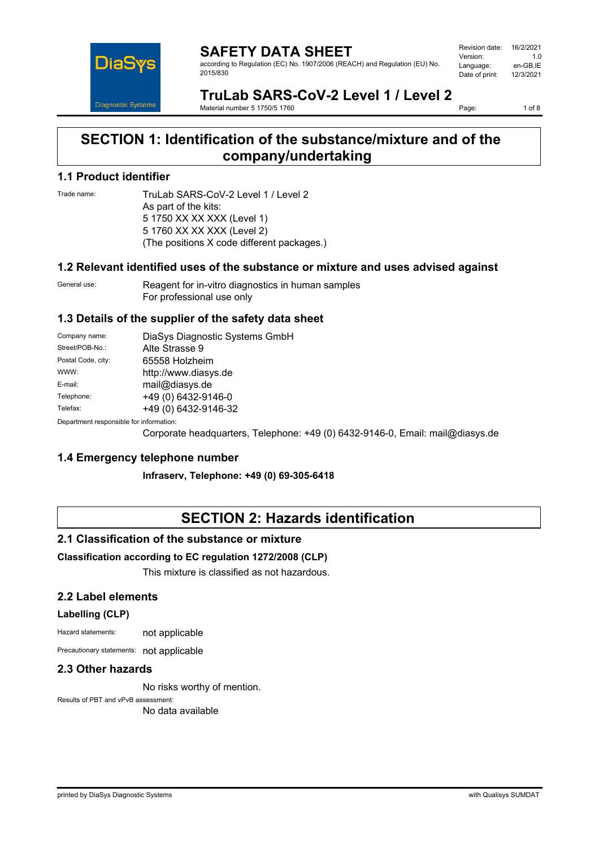

#### **SAFETY DATA SHEET** according to Regulation (EC) No. 1907/2006 (REACH) and Regulation (EU) No. 2015/830

| Revision date: | 16/2/2021 |
|----------------|-----------|
| Version:       | 1 O       |
| Language:      | en-GB.IE  |
| Date of print: | 12/3/2021 |
|                |           |

## **TruLab SARS-CoV-2 Level 1 / Level 2**

Material number 5 1750/5 1760

Page: 1 of 8

## **SECTION 1: Identification of the substance/mixture and of the company/undertaking**

### **1.1 Product identifier**

Trade name: TruLab SARS-CoV-2 Level 1 / Level 2 As part of the kits: 5 1750 XX XX XXX (Level 1) 5 1760 XX XX XXX (Level 2) (The positions X code different packages.)

### **1.2 Relevant identified uses of the substance or mixture and uses advised against**

General use: Reagent for in-vitro diagnostics in human samples For professional use only

### **1.3 Details of the supplier of the safety data sheet**

| Company name:                           | DiaSys Diagnostic Systems GmbH |
|-----------------------------------------|--------------------------------|
| Street/POB-No.:                         | Alte Strasse 9                 |
| Postal Code, city:                      | 65558 Holzheim                 |
| WWW:                                    | http://www.diasys.de           |
| E-mail:                                 | mail@diasys.de                 |
| Telephone:                              | +49 (0) 6432-9146-0            |
| Telefax:                                | +49 (0) 6432-9146-32           |
| Department responsible for information: |                                |

Corporate headquarters, Telephone: +49 (0) 6432-9146-0, Email: mail@diasys.de

### **1.4 Emergency telephone number**

**Infraserv, Telephone: +49 (0) 69-305-6418**

## **SECTION 2: Hazards identification**

### **2.1 Classification of the substance or mixture**

### **Classification according to EC regulation 1272/2008 (CLP)**

This mixture is classified as not hazardous.

### **2.2 Label elements**

### **Labelling (CLP)**

Hazard statements: not applicable

Precautionary statements: not applicable

### **2.3 Other hazards**

No risks worthy of mention.

Results of PBT and vPvB assessment:

No data available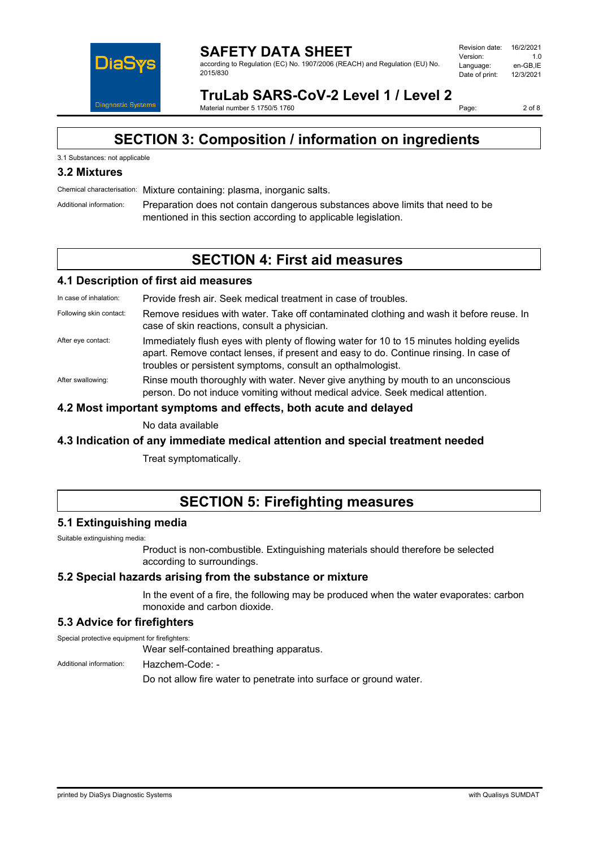

**SAFETY DATA SHEET** according to Regulation (EC) No. 1907/2006 (REACH) and Regulation (EU) No. 2015/830

**TruLab SARS-CoV-2 Level 1 / Level 2**

Material number 5 1750/5 1760

Page: 2 of 8

## **SECTION 3: Composition / information on ingredients**

### 3.1 Substances: not applicable

### **3.2 Mixtures**

Chemical characterisation: Mixture containing: plasma, inorganic salts.

Additional information: Preparation does not contain dangerous substances above limits that need to be mentioned in this section according to applicable legislation.

## **SECTION 4: First aid measures**

#### **4.1 Description of first aid measures**

In case of inhalation: Provide fresh air. Seek medical treatment in case of troubles.

- Following skin contact: Remove residues with water. Take off contaminated clothing and wash it before reuse. In case of skin reactions, consult a physician.
- After eye contact: Immediately flush eyes with plenty of flowing water for 10 to 15 minutes holding eyelids apart. Remove contact lenses, if present and easy to do. Continue rinsing. In case of troubles or persistent symptoms, consult an opthalmologist.
- After swallowing: Rinse mouth thoroughly with water. Never give anything by mouth to an unconscious person. Do not induce vomiting without medical advice. Seek medical attention.

### **4.2 Most important symptoms and effects, both acute and delayed**

No data available

### **4.3 Indication of any immediate medical attention and special treatment needed**

Treat symptomatically.

## **SECTION 5: Firefighting measures**

### **5.1 Extinguishing media**

Suitable extinguishing media:

Product is non-combustible. Extinguishing materials should therefore be selected according to surroundings.

### **5.2 Special hazards arising from the substance or mixture**

In the event of a fire, the following may be produced when the water evaporates: carbon monoxide and carbon dioxide.

### **5.3 Advice for firefighters**

Special protective equipment for firefighters:

Wear self-contained breathing apparatus.

Additional information: Hazchem-Code: -

Do not allow fire water to penetrate into surface or ground water.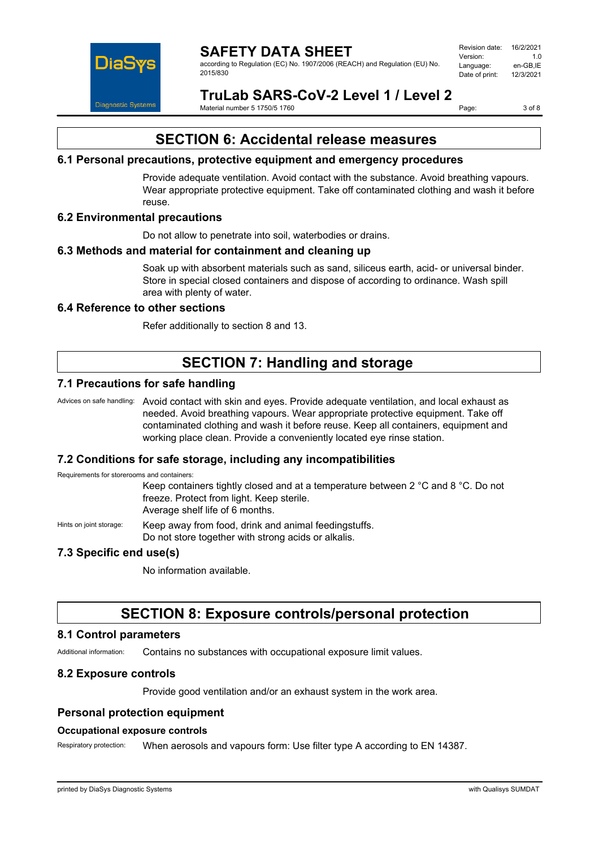

according to Regulation (EC) No. 1907/2006 (REACH) and Regulation (EU) No. 2015/830

Revision date: 16/2/2021 Version: 1.0<br>المنطق العربية المنطقة المنطقة التي المنطقة التي تصريح المنطقة التي التي التي التي التي التي التي<br>Persion: 1.0 persion: 2.0 persion: 2.0 persion: 2.0 persion: 2.0 persion: 2.0 per Language: en-GB,IE<br>Date of print: 12/3/2021 Date of print:

## **TruLab SARS-CoV-2 Level 1 / Level 2**

Material number 5 1750/5 1760

Page: 3 of 8

## **SECTION 6: Accidental release measures**

### **6.1 Personal precautions, protective equipment and emergency procedures**

Provide adequate ventilation. Avoid contact with the substance. Avoid breathing vapours. Wear appropriate protective equipment. Take off contaminated clothing and wash it before reuse.

### **6.2 Environmental precautions**

Do not allow to penetrate into soil, waterbodies or drains.

### **6.3 Methods and material for containment and cleaning up**

Soak up with absorbent materials such as sand, siliceus earth, acid- or universal binder. Store in special closed containers and dispose of according to ordinance. Wash spill area with plenty of water.

### **6.4 Reference to other sections**

Refer additionally to section 8 and 13.

## **SECTION 7: Handling and storage**

### **7.1 Precautions for safe handling**

Advices on safe handling: Avoid contact with skin and eyes. Provide adequate ventilation, and local exhaust as needed. Avoid breathing vapours. Wear appropriate protective equipment. Take off contaminated clothing and wash it before reuse. Keep all containers, equipment and working place clean. Provide a conveniently located eye rinse station.

### **7.2 Conditions for safe storage, including any incompatibilities**

Requirements for storerooms and containers: Keep containers tightly closed and at a temperature between 2 °C and 8 °C. Do not freeze. Protect from light. Keep sterile. Average shelf life of 6 months. Hints on joint storage: Keep away from food, drink and animal feedingstuffs. Do not store together with strong acids or alkalis.

### **7.3 Specific end use(s)**

No information available.

## **SECTION 8: Exposure controls/personal protection**

### **8.1 Control parameters**

Additional information: Contains no substances with occupational exposure limit values.

### **8.2 Exposure controls**

Provide good ventilation and/or an exhaust system in the work area.

### **Personal protection equipment**

### **Occupational exposure controls**

Respiratory protection: When aerosols and vapours form: Use filter type A according to EN 14387.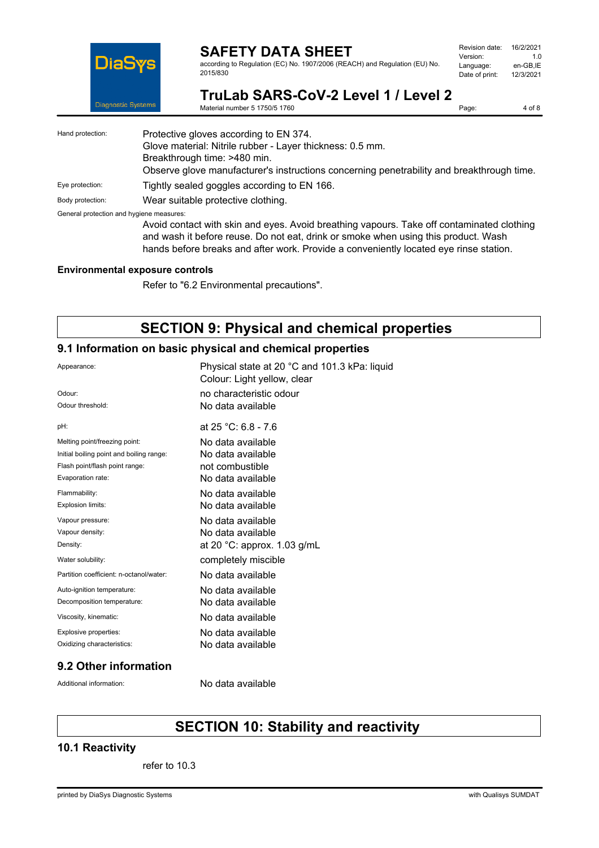

according to Regulation (EC) No. 1907/2006 (REACH) and Regulation (EU) No. 2015/830

| Revision date: | 16/2/2021 |
|----------------|-----------|
| Version:       | 1 O       |
| Language:      | en-GB.IE  |
| Date of print: | 12/3/2021 |
|                |           |

Page: 4 of 8

**TruLab SARS-CoV-2 Level 1 / Level 2**

Material number 5 1750/5 1760

| Hand protection:                         | Protective gloves according to EN 374.<br>Glove material: Nitrile rubber - Layer thickness: 0.5 mm.<br>Breakthrough time: >480 min.<br>Observe glove manufacturer's instructions concerning penetrability and breakthrough time.                                         |
|------------------------------------------|--------------------------------------------------------------------------------------------------------------------------------------------------------------------------------------------------------------------------------------------------------------------------|
| Eye protection:                          | Tightly sealed goggles according to EN 166.                                                                                                                                                                                                                              |
| Body protection:                         | Wear suitable protective clothing.                                                                                                                                                                                                                                       |
| General protection and hygiene measures: | Avoid contact with skin and eyes. Avoid breathing vapours. Take off contaminated clothing<br>and wash it before reuse. Do not eat, drink or smoke when using this product. Wash<br>hands before breaks and after work. Provide a conveniently located eye rinse station. |

#### **Environmental exposure controls**

Refer to "6.2 Environmental precautions".

## **SECTION 9: Physical and chemical properties**

### **9.1 Information on basic physical and chemical properties**

| Appearance:                              | Physical state at 20 °C and 101.3 kPa: liquid<br>Colour: Light yellow, clear |
|------------------------------------------|------------------------------------------------------------------------------|
| Odour:                                   | no characteristic odour                                                      |
| Odour threshold:                         | No data available                                                            |
| pH:                                      | at $25 °C$ : 6.8 - 7.6                                                       |
| Melting point/freezing point:            | No data available                                                            |
| Initial boiling point and boiling range: | No data available                                                            |
| Flash point/flash point range:           | not combustible                                                              |
| Evaporation rate:                        | No data available                                                            |
| Flammability:                            | No data available                                                            |
| Explosion limits:                        | No data available                                                            |
| Vapour pressure:                         | No data available                                                            |
| Vapour density:                          | No data available                                                            |
| Density:                                 | at 20 $^{\circ}$ C: approx. 1.03 g/mL                                        |
| Water solubility:                        | completely miscible                                                          |
| Partition coefficient: n-octanol/water:  | No data available                                                            |
| Auto-ignition temperature:               | No data available                                                            |
| Decomposition temperature:               | No data available                                                            |
| Viscosity, kinematic:                    | No data available                                                            |
| Explosive properties:                    | No data available                                                            |
| Oxidizing characteristics:               | No data available                                                            |
|                                          |                                                                              |

### **9.2 Other information**

Additional information: No data available

# **SECTION 10: Stability and reactivity**

### **10.1 Reactivity**

refer to 10.3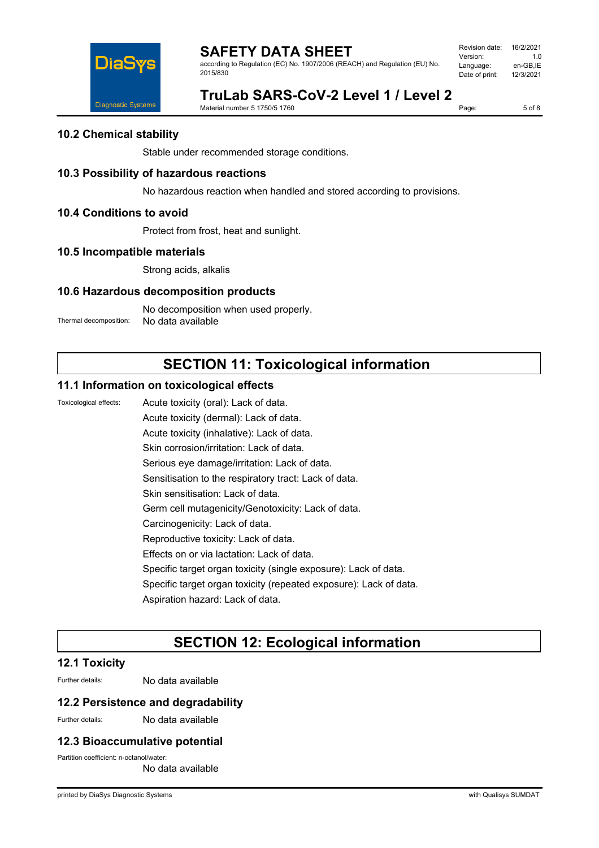

according to Regulation (EC) No. 1907/2006 (REACH) and Regulation (EU) No. 2015/830

| Revision date: | 16/2/2021 |
|----------------|-----------|
| Version:       | 1 O       |
| Language:      | en-GB.IE  |
| Date of print: | 12/3/2021 |
|                |           |

# **TruLab SARS-CoV-2 Level 1 / Level 2**

Material number 5 1750/5 1760

Page: 5 of 8

### **10.2 Chemical stability**

Stable under recommended storage conditions.

### **10.3 Possibility of hazardous reactions**

No hazardous reaction when handled and stored according to provisions.

### **10.4 Conditions to avoid**

Protect from frost, heat and sunlight.

### **10.5 Incompatible materials**

Strong acids, alkalis

### **10.6 Hazardous decomposition products**

No decomposition when used properly. Thermal decomposition: No data available

# **SECTION 11: Toxicological information**

### **11.1 Information on toxicological effects**

Toxicological effects: Acute toxicity (oral): Lack of data.

Acute toxicity (dermal): Lack of data.

Acute toxicity (inhalative): Lack of data.

Skin corrosion/irritation: Lack of data.

Serious eye damage/irritation: Lack of data.

Sensitisation to the respiratory tract: Lack of data.

Skin sensitisation: Lack of data.

Germ cell mutagenicity/Genotoxicity: Lack of data.

- Carcinogenicity: Lack of data.
- Reproductive toxicity: Lack of data.

Effects on or via lactation: Lack of data.

Specific target organ toxicity (single exposure): Lack of data.

Specific target organ toxicity (repeated exposure): Lack of data.

Aspiration hazard: Lack of data.

# **SECTION 12: Ecological information**

### **12.1 Toxicity**

Further details: No data available

### **12.2 Persistence and degradability**

Further details: No data available

### **12.3 Bioaccumulative potential**

Partition coefficient: n-octanol/water:

No data available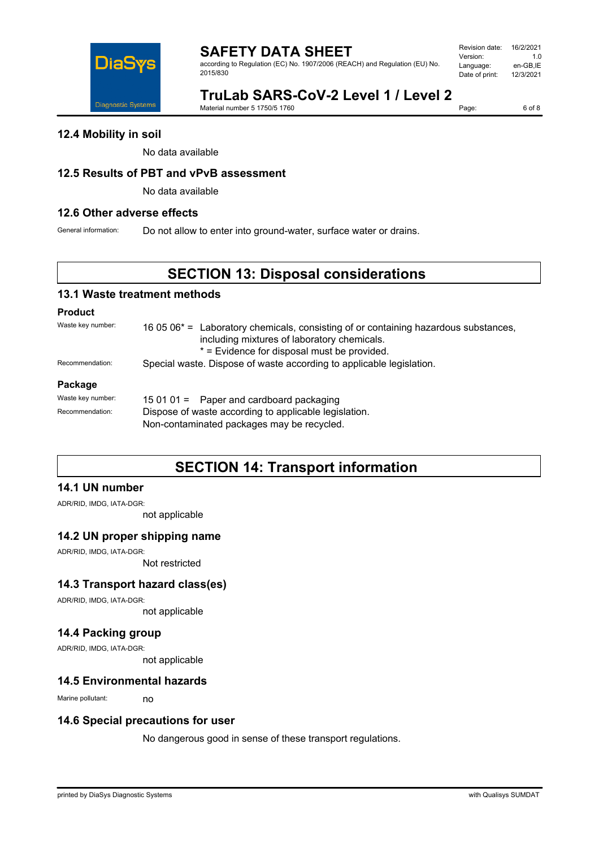

according to Regulation (EC) No. 1907/2006 (REACH) and Regulation (EU) No. 2015/830

| Revision date: | 16/2/2021 |
|----------------|-----------|
| Version:       | 1 N       |
| Language:      | en-GB.IE  |
| Date of print: | 12/3/2021 |
|                |           |

# **TruLab SARS-CoV-2 Level 1 / Level 2**

Material number 5 1750/5 1760

Page: 6 of 8

### **12.4 Mobility in soil**

No data available

### **12.5 Results of PBT and vPvB assessment**

No data available

### **12.6 Other adverse effects**

General information: Do not allow to enter into ground-water, surface water or drains.

## **SECTION 13: Disposal considerations**

### **13.1 Waste treatment methods**

#### **Product**

Waste key number: 16 05 06<sup>\*</sup> = Laboratory chemicals, consisting of or containing hazardous substances, including mixtures of laboratory chemicals. \* = Evidence for disposal must be provided. Recommendation: Special waste. Dispose of waste according to applicable legislation.

#### **Package**

| Waste key number: | 15 01 01 = Paper and cardboard packaging                                                            |  |
|-------------------|-----------------------------------------------------------------------------------------------------|--|
| Recommendation:   | Dispose of waste according to applicable legislation.<br>Non-contaminated packages may be recycled. |  |
|                   |                                                                                                     |  |

## **SECTION 14: Transport information**

### **14.1 UN number**

ADR/RID, IMDG, IATA-DGR:

not applicable

### **14.2 UN proper shipping name**

ADR/RID, IMDG, IATA-DGR:

Not restricted

### **14.3 Transport hazard class(es)**

ADR/RID, IMDG, IATA-DGR:

not applicable

### **14.4 Packing group**

ADR/RID, IMDG, IATA-DGR:

not applicable

### **14.5 Environmental hazards**

Marine pollutant: no

### **14.6 Special precautions for user**

No dangerous good in sense of these transport regulations.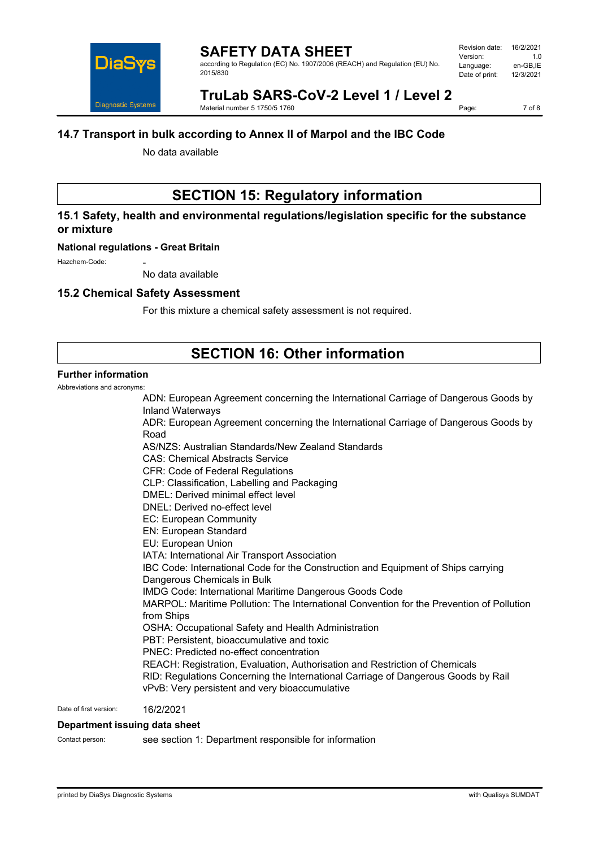

#### **SAFETY DATA SHEET** according to Regulation (EC) No. 1907/2006 (REACH) and Regulation (EU) No. 2015/830

# **TruLab SARS-CoV-2 Level 1 / Level 2**

Material number 5 1750/5 1760

Page: 7 of 8

### **14.7 Transport in bulk according to Annex II of Marpol and the IBC Code**

No data available

# **SECTION 15: Regulatory information**

### **15.1 Safety, health and environmental regulations/legislation specific for the substance or mixture**

#### **National regulations - Great Britain**

Hazchem-Code:

No data available

### **15.2 Chemical Safety Assessment**

For this mixture a chemical safety assessment is not required.

## **SECTION 16: Other information**

### **Further information**

Abbreviations and acronyms:

ADN: European Agreement concerning the International Carriage of Dangerous Goods by Inland Waterways ADR: European Agreement concerning the International Carriage of Dangerous Goods by Road AS/NZS: Australian Standards/New Zealand Standards CAS: Chemical Abstracts Service CFR: Code of Federal Regulations CLP: Classification, Labelling and Packaging DMEL: Derived minimal effect level DNEL: Derived no-effect level EC: European Community EN: European Standard EU: European Union IATA: International Air Transport Association IBC Code: International Code for the Construction and Equipment of Ships carrying Dangerous Chemicals in Bulk IMDG Code: International Maritime Dangerous Goods Code MARPOL: Maritime Pollution: The International Convention for the Prevention of Pollution from Ships OSHA: Occupational Safety and Health Administration PBT: Persistent, bioaccumulative and toxic PNEC: Predicted no-effect concentration REACH: Registration, Evaluation, Authorisation and Restriction of Chemicals RID: Regulations Concerning the International Carriage of Dangerous Goods by Rail vPvB: Very persistent and very bioaccumulative

Date of first version: 16/2/2021

#### **Department issuing data sheet**

Contact person: see section 1: Department responsible for information